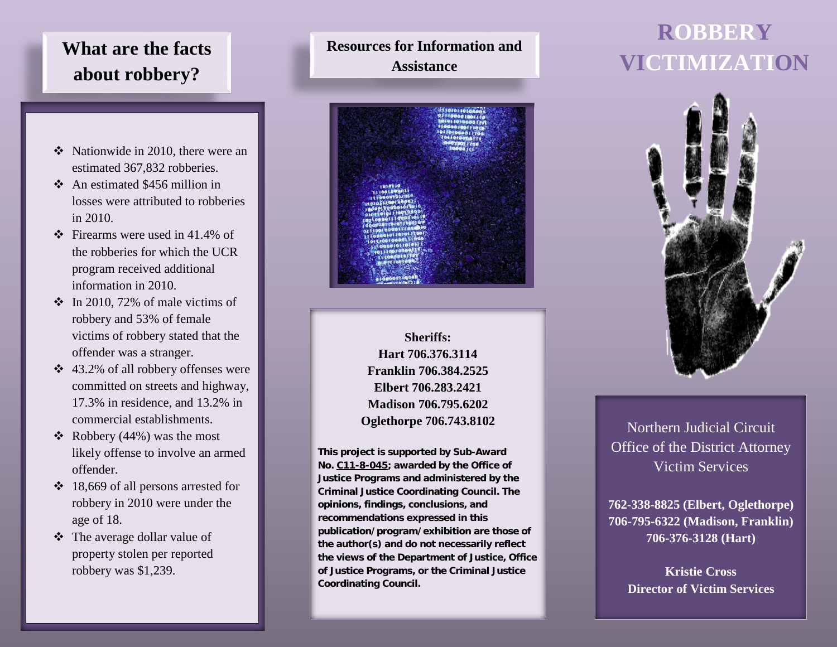## **What are the facts about robbery?**

- $\div$  Nationwide in 2010, there were an estimated 367,832 robberies.
- $\triangle$  An estimated \$456 million in losses were attributed to robberies in 2010.
- $\div$  Firearms were used in 41.4% of the robberies for which the UCR program received additional information in 2010.
- $\div$  In 2010, 72% of male victims of robbery and 53% of female victims of robbery stated that the offender was a stranger.
- 43.2% of all robbery offenses were committed on streets and highway, 17.3% in residence, and 13.2% in commercial establishments.
- $\triangleleft$  Robbery (44%) was the most likely offense to involve an armed offender.
- $\div$  18,669 of all persons arrested for robbery in 2010 were under the age of 18.
- The average dollar value of property stolen per reported robbery was \$1,239.

## **Resources for Information and Assistance**



**Sheriffs: Hart 706.376.3114 Franklin 706.384.2525 Elbert 706.283.2421 Madison 706.795.6202 Oglethorpe 706.743.8102**

**This project is supported by Sub-Award No. C11-8-045; awarded by the Office of Justice Programs and administered by the Criminal Justice Coordinating Council. The opinions, findings, conclusions, and recommendations expressed in this publication/program/exhibition are those of the author(s) and do not necessarily reflect the views of the Department of Justice, Office of Justice Programs, or the Criminal Justice Coordinating Council.**

# **ROBBERY VICTIMIZATION**



Northern Judicial Circuit Office of the District Attorney Victim Services

**762-338-8825 (Elbert, Oglethorpe) 706-795-6322 (Madison, Franklin) 706-376-3128 (Hart)**

> **Kristie Cross Director of Victim Services**